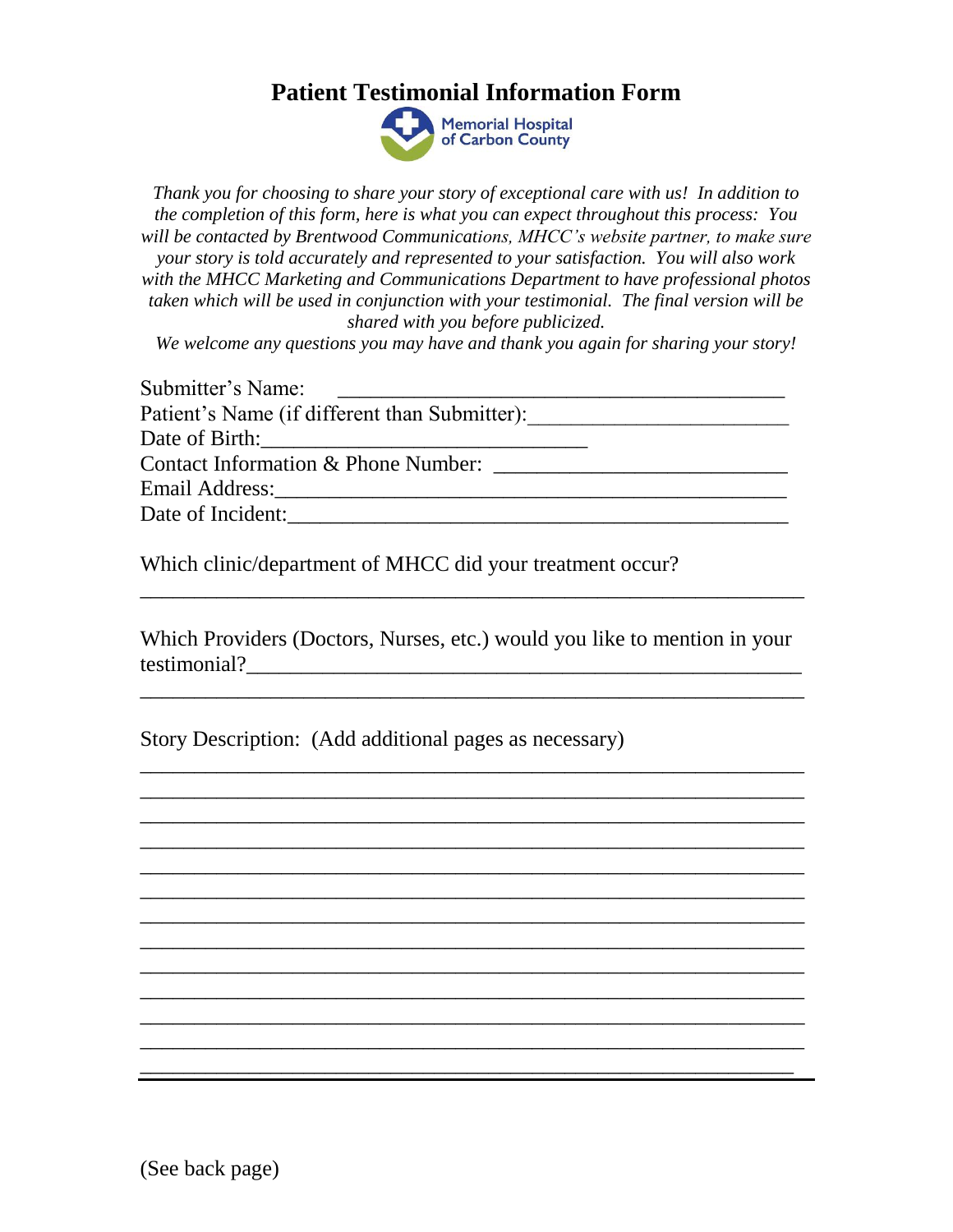## **Patient Testimonial Information Form**



*Thank you for choosing to share your story of exceptional care with us! In addition to the completion of this form, here is what you can expect throughout this process: You will be contacted by Brentwood Communications, MHCC's website partner, to make sure your story is told accurately and represented to your satisfaction. You will also work with the MHCC Marketing and Communications Department to have professional photos taken which will be used in conjunction with your testimonial. The final version will be shared with you before publicized.*

*We welcome any questions you may have and thank you again for sharing your story!*

| Submitter's Name:                             |  |
|-----------------------------------------------|--|
| Patient's Name (if different than Submitter): |  |
| Date of Birth:                                |  |
| Contact Information & Phone Number:           |  |
| Email Address: 2008. [19] Annual Address:     |  |
| Date of Incident:                             |  |

Which clinic/department of MHCC did your treatment occur?

Which Providers (Doctors, Nurses, etc.) would you like to mention in your testimonial?

\_\_\_\_\_\_\_\_\_\_\_\_\_\_\_\_\_\_\_\_\_\_\_\_\_\_\_\_\_\_\_\_\_\_\_\_\_\_\_\_\_\_\_\_\_\_\_\_\_\_\_\_\_\_\_\_\_\_\_\_\_

\_\_\_\_\_\_\_\_\_\_\_\_\_\_\_\_\_\_\_\_\_\_\_\_\_\_\_\_\_\_\_\_\_\_\_\_\_\_\_\_\_\_\_\_\_\_\_\_\_\_\_\_\_\_\_\_\_\_\_\_\_ \_\_\_\_\_\_\_\_\_\_\_\_\_\_\_\_\_\_\_\_\_\_\_\_\_\_\_\_\_\_\_\_\_\_\_\_\_\_\_\_\_\_\_\_\_\_\_\_\_\_\_\_\_\_\_\_\_\_\_\_\_ \_\_\_\_\_\_\_\_\_\_\_\_\_\_\_\_\_\_\_\_\_\_\_\_\_\_\_\_\_\_\_\_\_\_\_\_\_\_\_\_\_\_\_\_\_\_\_\_\_\_\_\_\_\_\_\_\_\_\_\_\_ \_\_\_\_\_\_\_\_\_\_\_\_\_\_\_\_\_\_\_\_\_\_\_\_\_\_\_\_\_\_\_\_\_\_\_\_\_\_\_\_\_\_\_\_\_\_\_\_\_\_\_\_\_\_\_\_\_\_\_\_\_ \_\_\_\_\_\_\_\_\_\_\_\_\_\_\_\_\_\_\_\_\_\_\_\_\_\_\_\_\_\_\_\_\_\_\_\_\_\_\_\_\_\_\_\_\_\_\_\_\_\_\_\_\_\_\_\_\_\_\_\_\_ \_\_\_\_\_\_\_\_\_\_\_\_\_\_\_\_\_\_\_\_\_\_\_\_\_\_\_\_\_\_\_\_\_\_\_\_\_\_\_\_\_\_\_\_\_\_\_\_\_\_\_\_\_\_\_\_\_\_\_\_\_ \_\_\_\_\_\_\_\_\_\_\_\_\_\_\_\_\_\_\_\_\_\_\_\_\_\_\_\_\_\_\_\_\_\_\_\_\_\_\_\_\_\_\_\_\_\_\_\_\_\_\_\_\_\_\_\_\_\_\_\_\_ \_\_\_\_\_\_\_\_\_\_\_\_\_\_\_\_\_\_\_\_\_\_\_\_\_\_\_\_\_\_\_\_\_\_\_\_\_\_\_\_\_\_\_\_\_\_\_\_\_\_\_\_\_\_\_\_\_\_\_\_\_ \_\_\_\_\_\_\_\_\_\_\_\_\_\_\_\_\_\_\_\_\_\_\_\_\_\_\_\_\_\_\_\_\_\_\_\_\_\_\_\_\_\_\_\_\_\_\_\_\_\_\_\_\_\_\_\_\_\_\_\_\_ \_\_\_\_\_\_\_\_\_\_\_\_\_\_\_\_\_\_\_\_\_\_\_\_\_\_\_\_\_\_\_\_\_\_\_\_\_\_\_\_\_\_\_\_\_\_\_\_\_\_\_\_\_\_\_\_\_\_\_\_\_ \_\_\_\_\_\_\_\_\_\_\_\_\_\_\_\_\_\_\_\_\_\_\_\_\_\_\_\_\_\_\_\_\_\_\_\_\_\_\_\_\_\_\_\_\_\_\_\_\_\_\_\_\_\_\_\_\_\_\_\_\_ \_\_\_\_\_\_\_\_\_\_\_\_\_\_\_\_\_\_\_\_\_\_\_\_\_\_\_\_\_\_\_\_\_\_\_\_\_\_\_\_\_\_\_\_\_\_\_\_\_\_\_\_\_\_\_\_\_\_\_\_\_

\_\_\_\_\_\_\_\_\_\_\_\_\_\_\_\_\_\_\_\_\_\_\_\_\_\_\_\_\_\_\_\_\_\_\_\_\_\_\_\_\_\_\_\_\_\_\_\_\_\_\_\_\_\_\_\_\_\_\_\_

\_\_\_\_\_\_\_\_\_\_\_\_\_\_\_\_\_\_\_\_\_\_\_\_\_\_\_\_\_\_\_\_\_\_\_\_\_\_\_\_\_\_\_\_\_\_\_\_\_\_\_\_\_\_\_\_\_\_\_\_\_

Story Description: (Add additional pages as necessary)

(See back page)